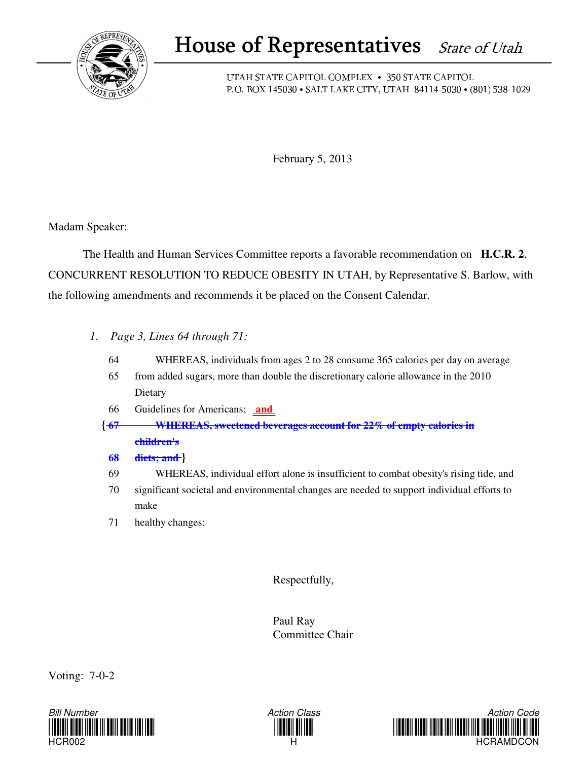

## House of Representatives State of Utah

UTAH STATE CAPITOL COMPLEX • 350 STATE CAPITOL P.O. BOX 145030 • SALT LAKE CITY, UTAH 84114-5030 • (801) 538-1029

February 5, 2013

Madam Speaker:

 The Health and Human Services Committee reports a favorable recommendation on **H.C.R. 2**, CONCURRENT RESOLUTION TO REDUCE OBESITY IN UTAH, by Representative S. Barlow, with the following amendments and recommends it be placed on the Consent Calendar.

- *1. Page 3, Lines 64 through 71:*
	- 64 WHEREAS, individuals from ages 2 to 28 consume 365 calories per day on average
	- 65 from added sugars, more than double the discretionary calorie allowance in the 2010 Dietary
	- 66 Guidelines for Americans; **and**
	- **{ 67 WHEREAS, sweetened beverages account for 22% of empty calories in children's**
	- **68 diets; and }**
	- 69 WHEREAS, individual effort alone is insufficient to combat obesity's rising tide, and
	- 70 significant societal and environmental changes are needed to support individual efforts to make
	- 71 healthy changes:

Respectfully,

Paul Ray Committee Chair

Voting: 7-0-2